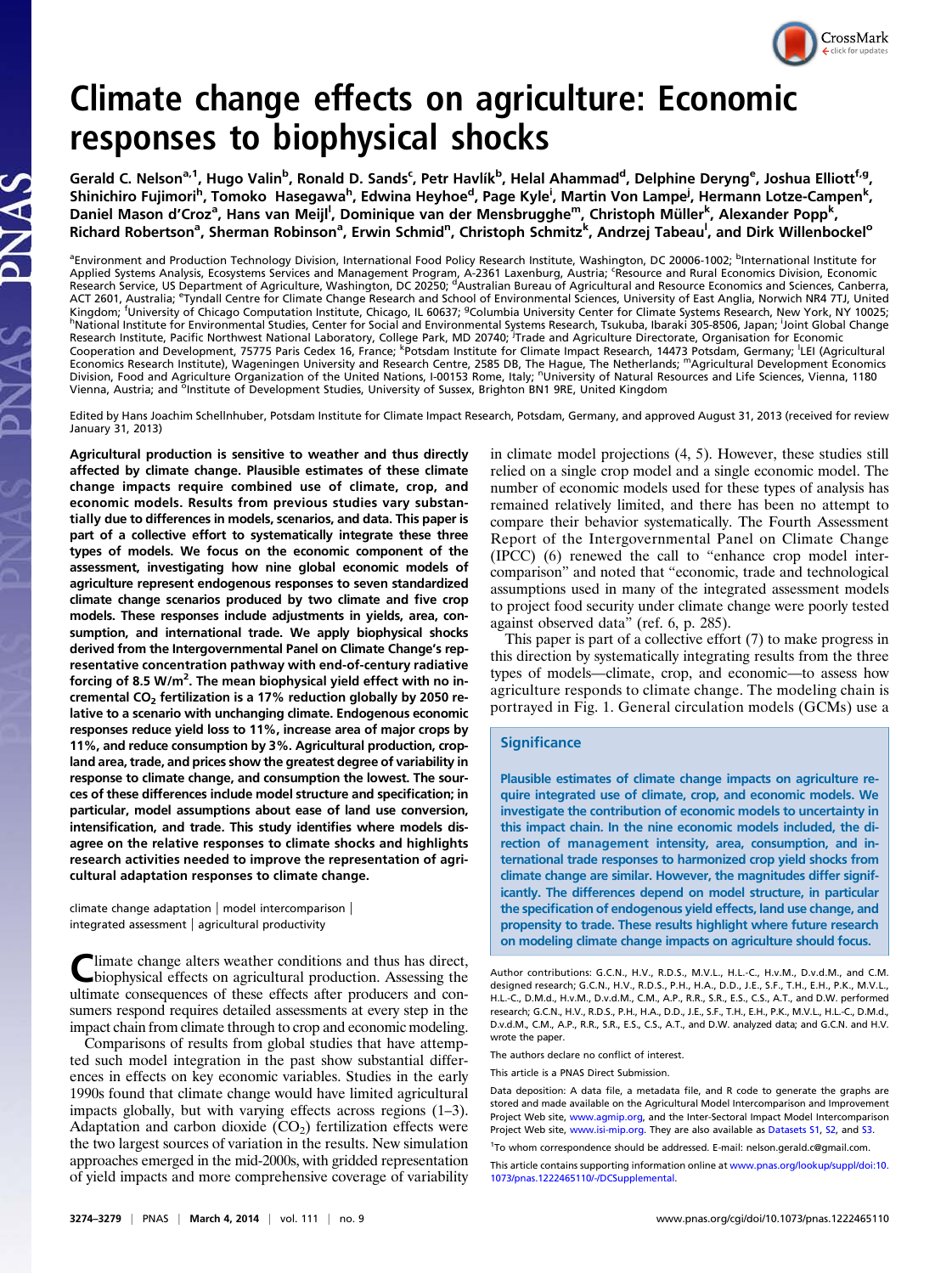

# Climate change effects on agriculture: Economic<br>responses to biophysical shocks

s and the same of the store of the store of the same of the same of the store.<br>Gerald C. Nelson<sup>a,1</sup>, Hugo Valin<sup>b</sup>, Ronald D. Sands<sup>c</sup>, Petr Havlík<sup>b</sup>, Helal Ahammad<sup>d</sup>, Delphine Deryng<sup>e</sup>, Joshua Elliott<sup>f,g</sup>, Shinichiro Fujimori<sup>h</sup>, Tomoko Hasegawa<sup>h</sup>, Edwina Heyhoe<sup>d</sup>, Page Kyle<sup>i</sup>, Martin Von Lampe<sup>j</sup>, Hermann Lotze-Campen<sup>k</sup>, Daniel Mason d'Croz<sup>a</sup>, Hans van Meijl<sup>l</sup>, Dominique van der Mensbrugghe<sup>m</sup>, Christoph Müller<sup>k</sup>, Alexander Popp<sup>k</sup>, Richard Robertson<sup>a</sup>, Sherman Robinson<sup>a</sup>, Erwin Schmid<sup>n</sup>, Christoph Schmitz<sup>k</sup>, Andrzej Tabeau<sup>l</sup>, and Dirk Willenbockel<sup>o</sup>

<sup>a</sup>Environment and Production Technology Division, International Food Policy Research Institute, Washington, DC 20006-1002; <sup>b</sup>International Institute for Applied Systems Analysis, Ecosystems Services and Management Program, A-2361 Laxenburg, Austria; 'Resource and Rural Economics Division, Economic Research Service, US Department of Agriculture, Washington, DC 20250; <sup>d</sup>Australian Bureau of Agricultural and Resource Economics and Sciences, Canberra, ACT 2601, Australia; <sup>e</sup>Tyndall Centre for Climate Change Research and School of Environmental Sciences, University of East Anglia, Norwich NR4 7TJ, United Kingdom; <sup>f</sup>University of Chicago Computation Institute, Chicago, IL 60637; <sup>g</sup>Columbia University Center for Climate Systems Research, New York, NY 10025;<br><sup>h</sup>National Institute for Environmental Studies, Center for Social "National Institute for Environmental Studies, Center for Social and Environmental Systems Research, Tsukuba, Ibaraki 305-8506, Japan; <sup>I</sup>Joint Global Change<br>Research Institute, Pacific Northwest National Laboratory, Colle Cooperation and Development, 75775 Paris Cedex 16, France; <sup>k</sup>Potsdam Institute for Climate Impact Research, 14473 Potsdam, Germany; <sup>I</sup>LEI (Agricultural<br>Economics Research Institute), Wageningen University and Research Ce Division, Food and Agriculture Organization of the United Nations, I-00153 Rome, Italy; "University of Natural Resources and Life Sciences, Vienna, 1180 Vienna, Austria; and <sup>o</sup>Institute of Development Studies, University of Sussex, Brighton BN1 9RE, United Kingdom

Edited by Hans Joachim Schellnhuber, Potsdam Institute for Climate Impact Research, Potsdam, Germany, and approved August 31, 2013 (received for review January 31, 2013)

Agricultural production is sensitive to weather and thus directly affected by climate change. Plausible estimates of these climate change impacts require combined use of climate, crop, and economic models. Results from previous studies vary substantially due to differences in models, scenarios, and data. This paper is part of a collective effort to systematically integrate these three types of models. We focus on the economic component of the assessment, investigating how nine global economic models of agriculture represent endogenous responses to seven standardized climate change scenarios produced by two climate and five crop models. These responses include adjustments in yields, area, consumption, and international trade. We apply biophysical shocks derived from the Intergovernmental Panel on Climate Change's representative concentration pathway with end-of-century radiative forcing of 8.5 W/m<sup>2</sup>. The mean biophysical yield effect with no incremental CO<sub>2</sub> fertilization is a 17% reduction globally by 2050 relative to a scenario with unchanging climate. Endogenous economic responses reduce yield loss to 11%, increase area of major crops by 11%, and reduce consumption by 3%. Agricultural production, cropland area, trade, and prices show the greatest degree of variability in response to climate change, and consumption the lowest. The sources of these differences include model structure and specification; in particular, model assumptions about ease of land use conversion, intensification, and trade. This study identifies where models disagree on the relative responses to climate shocks and highlights research activities needed to improve the representation of agricultural adaptation responses to climate change.

climate change adaptation | model intercomparison | integrated assessment | agricultural productivity

Ilimate change alters weather conditions and thus has direct, biophysical effects on agricultural production. Assessing the ultimate consequences of these effects after producers and consumers respond requires detailed assessments at every step in the impact chain from climate through to crop and economic modeling.

Comparisons of results from global studies that have attempted such model integration in the past show substantial differences in effects on key economic variables. Studies in the early 1990s found that climate change would have limited agricultural impacts globally, but with varying effects across regions (1–3). Adaptation and carbon dioxide  $(CO<sub>2</sub>)$  fertilization effects were the two largest sources of variation in the results. New simulation approaches emerged in the mid-2000s, with gridded representation of yield impacts and more comprehensive coverage of variability in climate model projections (4, 5). However, these studies still relied on a single crop model and a single economic model. The number of economic models used for these types of analysis has remained relatively limited, and there has been no attempt to compare their behavior systematically. The Fourth Assessment Report of the Intergovernmental Panel on Climate Change (IPCC) (6) renewed the call to "enhance crop model intercomparison" and noted that "economic, trade and technological assumptions used in many of the integrated assessment models to project food security under climate change were poorly tested against observed data" (ref. 6, p. 285).

This paper is part of a collective effort (7) to make progress in this direction by systematically integrating results from the three types of models—climate, crop, and economic—to assess how agriculture responds to climate change. The modeling chain is portrayed in Fig. 1. General circulation models (GCMs) use a

# **Significance**

Plausible estimates of climate change impacts on agriculture require integrated use of climate, crop, and economic models. We investigate the contribution of economic models to uncertainty in this impact chain. In the nine economic models included, the direction of management intensity, area, consumption, and international trade responses to harmonized crop yield shocks from climate change are similar. However, the magnitudes differ significantly. The differences depend on model structure, in particular the specification of endogenous yield effects, land use change, and propensity to trade. These results highlight where future research on modeling climate change impacts on agriculture should focus.

Author contributions: G.C.N., H.V., R.D.S., M.V.L., H.L.-C., H.v.M., D.v.d.M., and C.M. designed research; G.C.N., H.V., R.D.S., P.H., H.A., D.D., J.E., S.F., T.H., E.H., P.K., M.V.L., H.L.-C., D.M.d., H.v.M., D.v.d.M., C.M., A.P., R.R., S.R., E.S., C.S., A.T., and D.W. performed research; G.C.N., H.V., R.D.S., P.H., H.A., D.D., J.E., S.F., T.H., E.H., P.K., M.V.L., H.L.-C., D.M.d., D.v.d.M., C.M., A.P., R.R., S.R., E.S., C.S., A.T., and D.W. analyzed data; and G.C.N. and H.V. wrote the paper.

The authors declare no conflict of interest.

This article is a PNAS Direct Submission.

Data deposition: A data file, a metadata file, and R code to generate the graphs are stored and made available on the Agricultural Model Intercomparison and Improvement Project Web site, [www.agmip.org](http://www.agmip.org), and the Inter-Sectoral Impact Model Intercomparison Project Web site, [www.isi-mip.org.](http://www.isi-mip.org) They are also available as [Datasets S1,](http://www.pnas.org/lookup/suppl/doi:10.1073/pnas.1222465110/-/DCSupplemental/sd01.csv) [S2,](http://www.pnas.org/lookup/suppl/doi:10.1073/pnas.1222465110/-/DCSupplemental/sd02.doc) and [S3](http://www.pnas.org/lookup/suppl/doi:10.1073/pnas.1222465110/-/DCSupplemental/sd03.txt).

<sup>1</sup>To whom correspondence should be addressed. E-mail: [nelson.gerald.c@gmail.com.](mailto:nelson.gerald.c@gmail.com)

This article contains supporting information online at [www.pnas.org/lookup/suppl/doi:10.](http://www.pnas.org/lookup/suppl/doi:10.1073/pnas.1222465110/-/DCSupplemental) [1073/pnas.1222465110/-/DCSupplemental.](http://www.pnas.org/lookup/suppl/doi:10.1073/pnas.1222465110/-/DCSupplemental)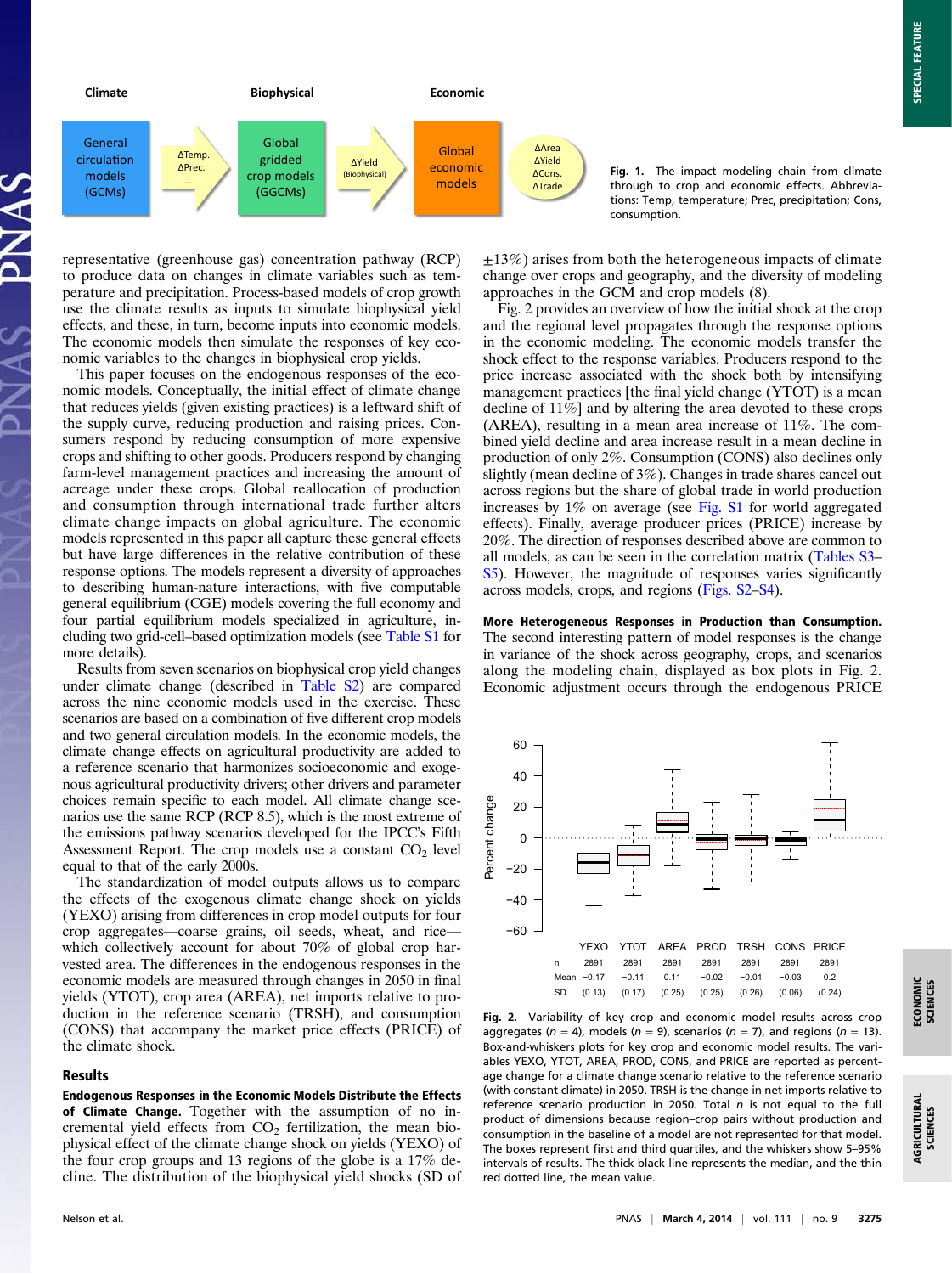

Fig. 1. The impact modeling chain from climate through to crop and economic effects. Abbreviations: Temp, temperature; Prec, precipitation; Cons, consumption.

representative (greenhouse gas) concentration pathway (RCP) to produce data on changes in climate variables such as temperature and precipitation. Process-based models of crop growth use the climate results as inputs to simulate biophysical yield effects, and these, in turn, become inputs into economic models. The economic models then simulate the responses of key economic variables to the changes in biophysical crop yields.

This paper focuses on the endogenous responses of the economic models. Conceptually, the initial effect of climate change that reduces yields (given existing practices) is a leftward shift of the supply curve, reducing production and raising prices. Consumers respond by reducing consumption of more expensive crops and shifting to other goods. Producers respond by changing farm-level management practices and increasing the amount of acreage under these crops. Global reallocation of production and consumption through international trade further alters climate change impacts on global agriculture. The economic models represented in this paper all capture these general effects but have large differences in the relative contribution of these response options. The models represent a diversity of approaches to describing human-nature interactions, with five computable general equilibrium (CGE) models covering the full economy and four partial equilibrium models specialized in agriculture, including two grid-cell–based optimization models (see [Table S1](http://www.pnas.org/lookup/suppl/doi:10.1073/pnas.1222465110/-/DCSupplemental/pnas.201222465SI.pdf?targetid=nameddest=ST1) for more details).

Results from seven scenarios on biophysical crop yield changes under climate change (described in [Table S2\)](http://www.pnas.org/lookup/suppl/doi:10.1073/pnas.1222465110/-/DCSupplemental/pnas.201222465SI.pdf?targetid=nameddest=ST2) are compared across the nine economic models used in the exercise. These scenarios are based on a combination of five different crop models and two general circulation models. In the economic models, the climate change effects on agricultural productivity are added to a reference scenario that harmonizes socioeconomic and exogenous agricultural productivity drivers; other drivers and parameter choices remain specific to each model. All climate change scenarios use the same RCP (RCP 8.5), which is the most extreme of the emissions pathway scenarios developed for the IPCC's Fifth Assessment Report. The crop models use a constant  $CO<sub>2</sub>$  level equal to that of the early 2000s.

The standardization of model outputs allows us to compare the effects of the exogenous climate change shock on yields (YEXO) arising from differences in crop model outputs for four crop aggregates—coarse grains, oil seeds, wheat, and rice which collectively account for about 70% of global crop harvested area. The differences in the endogenous responses in the economic models are measured through changes in 2050 in final yields (YTOT), crop area (AREA), net imports relative to production in the reference scenario (TRSH), and consumption (CONS) that accompany the market price effects (PRICE) of the climate shock.

## **Results**

Endogenous Responses in the Economic Models Distribute the Effects of Climate Change. Together with the assumption of no incremental yield effects from  $CO<sub>2</sub>$  fertilization, the mean biophysical effect of the climate change shock on yields (YEXO) of the four crop groups and 13 regions of the globe is a 17% decline. The distribution of the biophysical yield shocks (SD of  $\pm$ 13%) arises from both the heterogeneous impacts of climate change over crops and geography, and the diversity of modeling approaches in the GCM and crop models (8).

Fig. 2 provides an overview of how the initial shock at the crop and the regional level propagates through the response options in the economic modeling. The economic models transfer the shock effect to the response variables. Producers respond to the price increase associated with the shock both by intensifying management practices [the final yield change (YTOT) is a mean decline of 11%] and by altering the area devoted to these crops (AREA), resulting in a mean area increase of 11%. The combined yield decline and area increase result in a mean decline in production of only 2%. Consumption (CONS) also declines only slightly (mean decline of 3%). Changes in trade shares cancel out across regions but the share of global trade in world production increases by  $1\%$  on average (see [Fig. S1](http://www.pnas.org/lookup/suppl/doi:10.1073/pnas.1222465110/-/DCSupplemental/pnas.201222465SI.pdf?targetid=nameddest=SF1) for world aggregated effects). Finally, average producer prices (PRICE) increase by 20%. The direction of responses described above are common to all models, as can be seen in the correlation matrix [\(Tables S3](http://www.pnas.org/lookup/suppl/doi:10.1073/pnas.1222465110/-/DCSupplemental/pnas.201222465SI.pdf?targetid=nameddest=ST3)– [S5](http://www.pnas.org/lookup/suppl/doi:10.1073/pnas.1222465110/-/DCSupplemental/pnas.201222465SI.pdf?targetid=nameddest=ST5)). However, the magnitude of responses varies significantly across models, crops, and regions ([Figs. S2](http://www.pnas.org/lookup/suppl/doi:10.1073/pnas.1222465110/-/DCSupplemental/pnas.201222465SI.pdf?targetid=nameddest=SF2)–[S4\)](http://www.pnas.org/lookup/suppl/doi:10.1073/pnas.1222465110/-/DCSupplemental/pnas.201222465SI.pdf?targetid=nameddest=SF4).

More Heterogeneous Responses in Production than Consumption. The second interesting pattern of model responses is the change in variance of the shock across geography, crops, and scenarios along the modeling chain, displayed as box plots in Fig. 2. Economic adjustment occurs through the endogenous PRICE



Fig. 2. Variability of key crop and economic model results across crop aggregates ( $n = 4$ ), models ( $n = 9$ ), scenarios ( $n = 7$ ), and regions ( $n = 13$ ). Box-and-whiskers plots for key crop and economic model results. The variables YEXO, YTOT, AREA, PROD, CONS, and PRICE are reported as percentage change for a climate change scenario relative to the reference scenario (with constant climate) in 2050. TRSH is the change in net imports relative to reference scenario production in 2050. Total  $n$  is not equal to the full product of dimensions because region–crop pairs without production and consumption in the baseline of a model are not represented for that model. The boxes represent first and third quartiles, and the whiskers show 5–95% intervals of results. The thick black line represents the median, and the thin red dotted line, the mean value.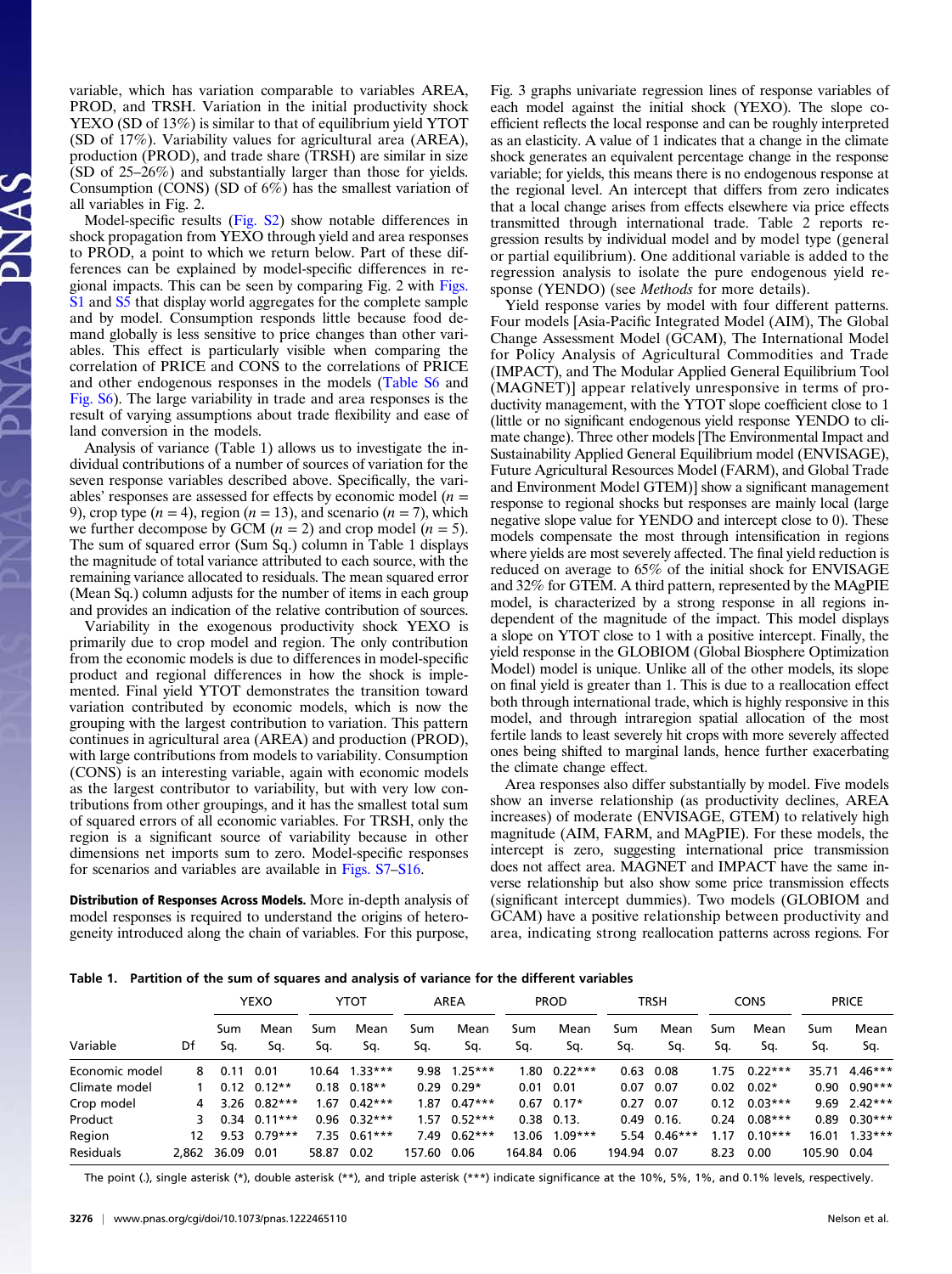variable, which has variation comparable to variables AREA, PROD, and TRSH. Variation in the initial productivity shock YEXO (SD of 13%) is similar to that of equilibrium yield YTOT (SD of 17%). Variability values for agricultural area (AREA), production (PROD), and trade share (TRSH) are similar in size (SD of 25–26%) and substantially larger than those for yields. Consumption (CONS) (SD of 6%) has the smallest variation of all variables in Fig. 2.

Model-specific results ([Fig. S2\)](http://www.pnas.org/lookup/suppl/doi:10.1073/pnas.1222465110/-/DCSupplemental/pnas.201222465SI.pdf?targetid=nameddest=SF2) show notable differences in shock propagation from YEXO through yield and area responses to PROD, a point to which we return below. Part of these differences can be explained by model-specific differences in regional impacts. This can be seen by comparing Fig. 2 with [Figs.](http://www.pnas.org/lookup/suppl/doi:10.1073/pnas.1222465110/-/DCSupplemental/pnas.201222465SI.pdf?targetid=nameddest=SF1) [S1](http://www.pnas.org/lookup/suppl/doi:10.1073/pnas.1222465110/-/DCSupplemental/pnas.201222465SI.pdf?targetid=nameddest=SF1) and [S5](http://www.pnas.org/lookup/suppl/doi:10.1073/pnas.1222465110/-/DCSupplemental/pnas.201222465SI.pdf?targetid=nameddest=SF5) that display world aggregates for the complete sample and by model. Consumption responds little because food demand globally is less sensitive to price changes than other variables. This effect is particularly visible when comparing the correlation of PRICE and CONS to the correlations of PRICE and other endogenous responses in the models [\(Table S6](http://www.pnas.org/lookup/suppl/doi:10.1073/pnas.1222465110/-/DCSupplemental/pnas.201222465SI.pdf?targetid=nameddest=ST6) and [Fig. S6\)](http://www.pnas.org/lookup/suppl/doi:10.1073/pnas.1222465110/-/DCSupplemental/pnas.201222465SI.pdf?targetid=nameddest=SF6). The large variability in trade and area responses is the result of varying assumptions about trade flexibility and ease of land conversion in the models.

Analysis of variance (Table 1) allows us to investigate the individual contributions of a number of sources of variation for the seven response variables described above. Specifically, the variables' responses are assessed for effects by economic model  $(n =$ 9), crop type  $(n = 4)$ , region  $(n = 13)$ , and scenario  $(n = 7)$ , which we further decompose by GCM  $(n = 2)$  and crop model  $(n = 5)$ . The sum of squared error (Sum Sq.) column in Table 1 displays the magnitude of total variance attributed to each source, with the remaining variance allocated to residuals. The mean squared error (Mean Sq.) column adjusts for the number of items in each group and provides an indication of the relative contribution of sources.

Variability in the exogenous productivity shock YEXO is primarily due to crop model and region. The only contribution from the economic models is due to differences in model-specific product and regional differences in how the shock is implemented. Final yield YTOT demonstrates the transition toward variation contributed by economic models, which is now the grouping with the largest contribution to variation. This pattern continues in agricultural area (AREA) and production (PROD), with large contributions from models to variability. Consumption (CONS) is an interesting variable, again with economic models as the largest contributor to variability, but with very low contributions from other groupings, and it has the smallest total sum of squared errors of all economic variables. For TRSH, only the region is a significant source of variability because in other dimensions net imports sum to zero. Model-specific responses for scenarios and variables are available in [Figs. S7](http://www.pnas.org/lookup/suppl/doi:10.1073/pnas.1222465110/-/DCSupplemental/pnas.201222465SI.pdf?targetid=nameddest=SF7)–[S16.](http://www.pnas.org/lookup/suppl/doi:10.1073/pnas.1222465110/-/DCSupplemental/pnas.201222465SI.pdf?targetid=nameddest=SF16)

Distribution of Responses Across Models. More in-depth analysis of model responses is required to understand the origins of heterogeneity introduced along the chain of variables. For this purpose,

Fig. 3 graphs univariate regression lines of response variables of each model against the initial shock (YEXO). The slope coefficient reflects the local response and can be roughly interpreted as an elasticity. A value of 1 indicates that a change in the climate shock generates an equivalent percentage change in the response variable; for yields, this means there is no endogenous response at the regional level. An intercept that differs from zero indicates that a local change arises from effects elsewhere via price effects transmitted through international trade. Table 2 reports regression results by individual model and by model type (general or partial equilibrium). One additional variable is added to the regression analysis to isolate the pure endogenous yield response (YENDO) (see *Methods* for more details).

Yield response varies by model with four different patterns. Four models [Asia-Pacific Integrated Model (AIM), The Global Change Assessment Model (GCAM), The International Model for Policy Analysis of Agricultural Commodities and Trade (IMPACT), and The Modular Applied General Equilibrium Tool (MAGNET)] appear relatively unresponsive in terms of productivity management, with the YTOT slope coefficient close to 1 (little or no significant endogenous yield response YENDO to climate change). Three other models [The Environmental Impact and Sustainability Applied General Equilibrium model (ENVISAGE), Future Agricultural Resources Model (FARM), and Global Trade and Environment Model GTEM)] show a significant management response to regional shocks but responses are mainly local (large negative slope value for YENDO and intercept close to 0). These models compensate the most through intensification in regions where yields are most severely affected. The final yield reduction is reduced on average to 65% of the initial shock for ENVISAGE and 32% for GTEM. A third pattern, represented by the MAgPIE model, is characterized by a strong response in all regions independent of the magnitude of the impact. This model displays a slope on YTOT close to 1 with a positive intercept. Finally, the yield response in the GLOBIOM (Global Biosphere Optimization Model) model is unique. Unlike all of the other models, its slope on final yield is greater than 1. This is due to a reallocation effect both through international trade, which is highly responsive in this model, and through intraregion spatial allocation of the most fertile lands to least severely hit crops with more severely affected ones being shifted to marginal lands, hence further exacerbating the climate change effect.

Area responses also differ substantially by model. Five models show an inverse relationship (as productivity declines, AREA increases) of moderate (ENVISAGE, GTEM) to relatively high magnitude (AIM, FARM, and MAgPIE). For these models, the intercept is zero, suggesting international price transmission does not affect area. MAGNET and IMPACT have the same inverse relationship but also show some price transmission effects (significant intercept dummies). Two models (GLOBIOM and GCAM) have a positive relationship between productivity and area, indicating strong reallocation patterns across regions. For

Table 1. Partition of the sum of squares and analysis of variance for the different variables

|                  | Df    | YEXO       |                  | YTOT       |                  | <b>AREA</b> |              | <b>PROD</b> |                      | TRSH        |                  | <b>CONS</b> |                | <b>PRICE</b> |             |
|------------------|-------|------------|------------------|------------|------------------|-------------|--------------|-------------|----------------------|-------------|------------------|-------------|----------------|--------------|-------------|
| Variable         |       | Sum<br>Sq. | Mean<br>Sq.      | Sum<br>Sa. | Mean<br>Sq.      | Sum<br>Sq.  | Mean<br>Sq.  | Sum<br>Sq.  | Mean<br>Sq.          | Sum<br>Sq.  | Mean<br>Sq.      | Sum<br>Sq.  | Mean<br>Sq.    | Sum<br>Sq.   | Mean<br>Sq. |
| Economic model   | 8.    | 0.11       | 0.01             |            | 10.64 1.33***    | 9.98        | $1.25***$    |             | $1.80 \quad 0.22***$ |             | $0.63$ 0.08      |             | $1.75$ 0.22*** | 35.71        | $4.46***$   |
| Climate model    |       | 0.12       | $0.12**$         |            | $0.18$ 0.18**    |             | $0.29$ 0.29* | 0.01        | 0.01                 |             | $0.07$ 0.07      | 0.02        | $0.02*$        | 0.90         | $0.90***$   |
| Crop model       | 4     |            | $3.26$ $0.82***$ | .67        | $0.42***$        | 1.87        | $0.47***$    |             | $0.67$ 0.17*         | 0.27        | 0.07             | 0.12        | $0.03***$      | 9.69         | $2.42***$   |
| Product          |       | 0.34       | $0.11***$        |            | $0.96$ $0.32***$ | 1.57        | $0.52***$    | 0.38        | 0.13.                |             | $0.49$ 0.16.     | 0.24        | $0.08***$      | 0.89         | $0.30***$   |
| Region           | 12    |            | $9.53$ 0.79***   |            | $7.35$ 0.61***   | 7.49        | $0.62***$    | 13.06       | $1.09***$            |             | $5.54$ $0.46***$ | .17         | $0.10***$      | 16.01        | $1.33***$   |
| <b>Residuals</b> | 2.862 | 36.09      | 0.01             | 58.87      | 0.02             | 157.60      | 0.06         | 164.84      | 0.06                 | 194.94 0.07 |                  | 8.23        | 0.00           | 105.90       | 0.04        |

The point (.), single asterisk (\*), double asterisk (\*\*), and triple asterisk (\*\*\*) indicate significance at the 10%, 5%, 1%, and 0.1% levels, respectively.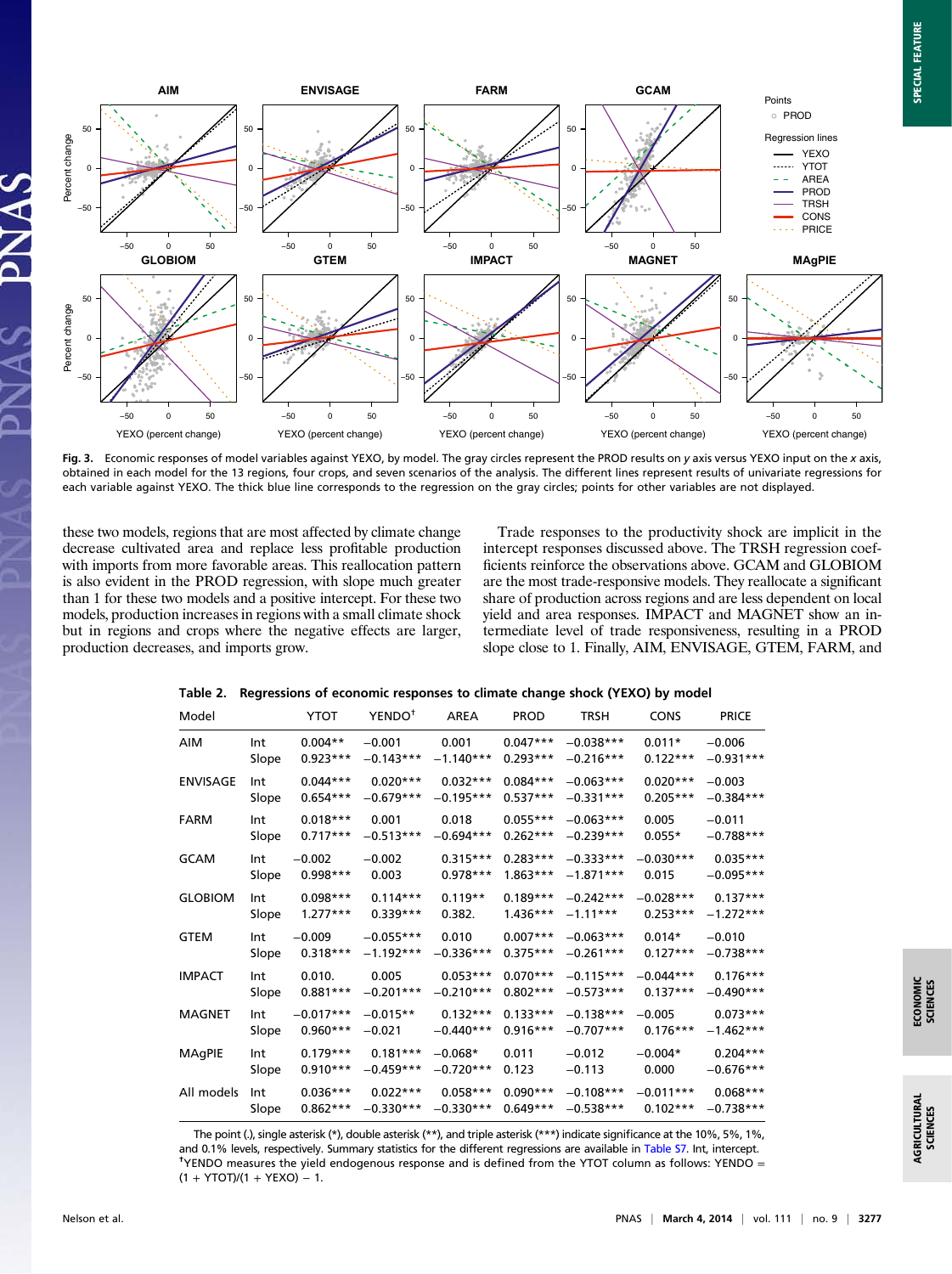

Fig. 3. Economic responses of model variables against YEXO, by model. The gray circles represent the PROD results on y axis versus YEXO input on the x axis, obtained in each model for the 13 regions, four crops, and seven scenarios of the analysis. The different lines represent results of univariate regressions for each variable against YEXO. The thick blue line corresponds to the regression on the gray circles; points for other variables are not displayed.

these two models, regions that are most affected by climate change decrease cultivated area and replace less profitable production with imports from more favorable areas. This reallocation pattern is also evident in the PROD regression, with slope much greater than 1 for these two models and a positive intercept. For these two models, production increases in regions with a small climate shock but in regions and crops where the negative effects are larger, production decreases, and imports grow.

Trade responses to the productivity shock are implicit in the intercept responses discussed above. The TRSH regression coefficients reinforce the observations above. GCAM and GLOBIOM are the most trade-responsive models. They reallocate a significant share of production across regions and are less dependent on local yield and area responses. IMPACT and MAGNET show an intermediate level of trade responsiveness, resulting in a PROD slope close to 1. Finally, AIM, ENVISAGE, GTEM, FARM, and

|  |  |  |  |  |  | Table 2. Regressions of economic responses to climate change shock (YEXO) by model |
|--|--|--|--|--|--|------------------------------------------------------------------------------------|
|--|--|--|--|--|--|------------------------------------------------------------------------------------|

| Model           |       | <b>YTOT</b> | YENDO <sup>†</sup> | <b>AREA</b> | <b>PROD</b> | <b>TRSH</b> | <b>CONS</b> | <b>PRICE</b> |
|-----------------|-------|-------------|--------------------|-------------|-------------|-------------|-------------|--------------|
| <b>AIM</b>      | Int   | $0.004**$   | $-0.001$           | 0.001       | $0.047***$  | $-0.038***$ | $0.011*$    | $-0.006$     |
|                 | Slope | $0.923***$  | $-0.143***$        | $-1.140***$ | $0.293***$  | $-0.216***$ | $0.122***$  | $-0.931***$  |
| <b>ENVISAGE</b> | Int   | $0.044***$  | $0.020***$         | $0.032***$  | $0.084***$  | $-0.063***$ | $0.020***$  | $-0.003$     |
|                 | Slope | $0.654***$  | $-0.679***$        | $-0.195***$ | $0.537***$  | $-0.331***$ | $0.205***$  | $-0.384***$  |
| <b>FARM</b>     | Int   | $0.018***$  | 0.001              | 0.018       | $0.055***$  | $-0.063***$ | 0.005       | $-0.011$     |
|                 | Slope | $0.717***$  | $-0.513***$        | $-0.694***$ | $0.262***$  | $-0.239***$ | $0.055*$    | $-0.788***$  |
| <b>GCAM</b>     | Int   | $-0.002$    | $-0.002$           | $0.315***$  | $0.283***$  | $-0.333***$ | $-0.030***$ | $0.035***$   |
|                 | Slope | $0.998***$  | 0.003              | $0.978***$  | $1.863***$  | $-1.871***$ | 0.015       | $-0.095***$  |
| <b>GLOBIOM</b>  | Int   | $0.098***$  | $0.114***$         | $0.119**$   | $0.189***$  | $-0.242***$ | $-0.028***$ | $0.137***$   |
|                 | Slope | $1.277***$  | $0.339***$         | 0.382.      | $1.436***$  | $-1.11***$  | $0.253***$  | $-1.272***$  |
| <b>GTEM</b>     | Int   | $-0.009$    | $-0.055***$        | 0.010       | $0.007***$  | $-0.063***$ | $0.014*$    | $-0.010$     |
|                 | Slope | $0.318***$  | $-1.192***$        | $-0.336***$ | $0.375***$  | $-0.261***$ | $0.127***$  | $-0.738***$  |
| <b>IMPACT</b>   | Int   | 0.010.      | 0.005              | $0.053***$  | $0.070***$  | $-0.115***$ | $-0.044***$ | $0.176***$   |
|                 | Slope | $0.881***$  | $-0.201***$        | $-0.210***$ | $0.802***$  | $-0.573***$ | $0.137***$  | $-0.490***$  |
| <b>MAGNET</b>   | Int   | $-0.017***$ | $-0.015**$         | $0.132***$  | $0.133***$  | $-0.138***$ | $-0.005$    | $0.073***$   |
|                 | Slope | $0.960***$  | $-0.021$           | $-0.440***$ | $0.916***$  | $-0.707***$ | $0.176***$  | $-1.462***$  |
| MAgPIE          | Int   | $0.179***$  | $0.181***$         | $-0.068*$   | 0.011       | $-0.012$    | $-0.004*$   | $0.204***$   |
|                 | Slope | $0.910***$  | $-0.459***$        | $-0.720***$ | 0.123       | $-0.113$    | 0.000       | $-0.676***$  |
| All models      | Int   | $0.036***$  | $0.022***$         | $0.058***$  | $0.090***$  | $-0.108***$ | $-0.011***$ | $0.068***$   |
|                 | Slope | $0.862***$  | $-0.330***$        | $-0.330***$ | $0.649***$  | $-0.538***$ | $0.102***$  | $-0.738***$  |

The point (.), single asterisk (\*), double asterisk (\*\*), and triple asterisk (\*\*\*) indicate significance at the 10%, 5%, 1%, and 0.1% levels, respectively. Summary statistics for the different regressions are available in [Table S7.](http://www.pnas.org/lookup/suppl/doi:10.1073/pnas.1222465110/-/DCSupplemental/pnas.201222465SI.pdf?targetid=nameddest=ST7) Int, intercept.  $<sup>†</sup>YENDO$  measures the yield endogenous response and is defined from the YTOT column as follows: YENDO =</sup>  $(1 + YTOT)/(1 + YEXO) - 1.$ 

AGRICULTURAL SCIENCES

**AGRICULTURAL**<br>SCIENCES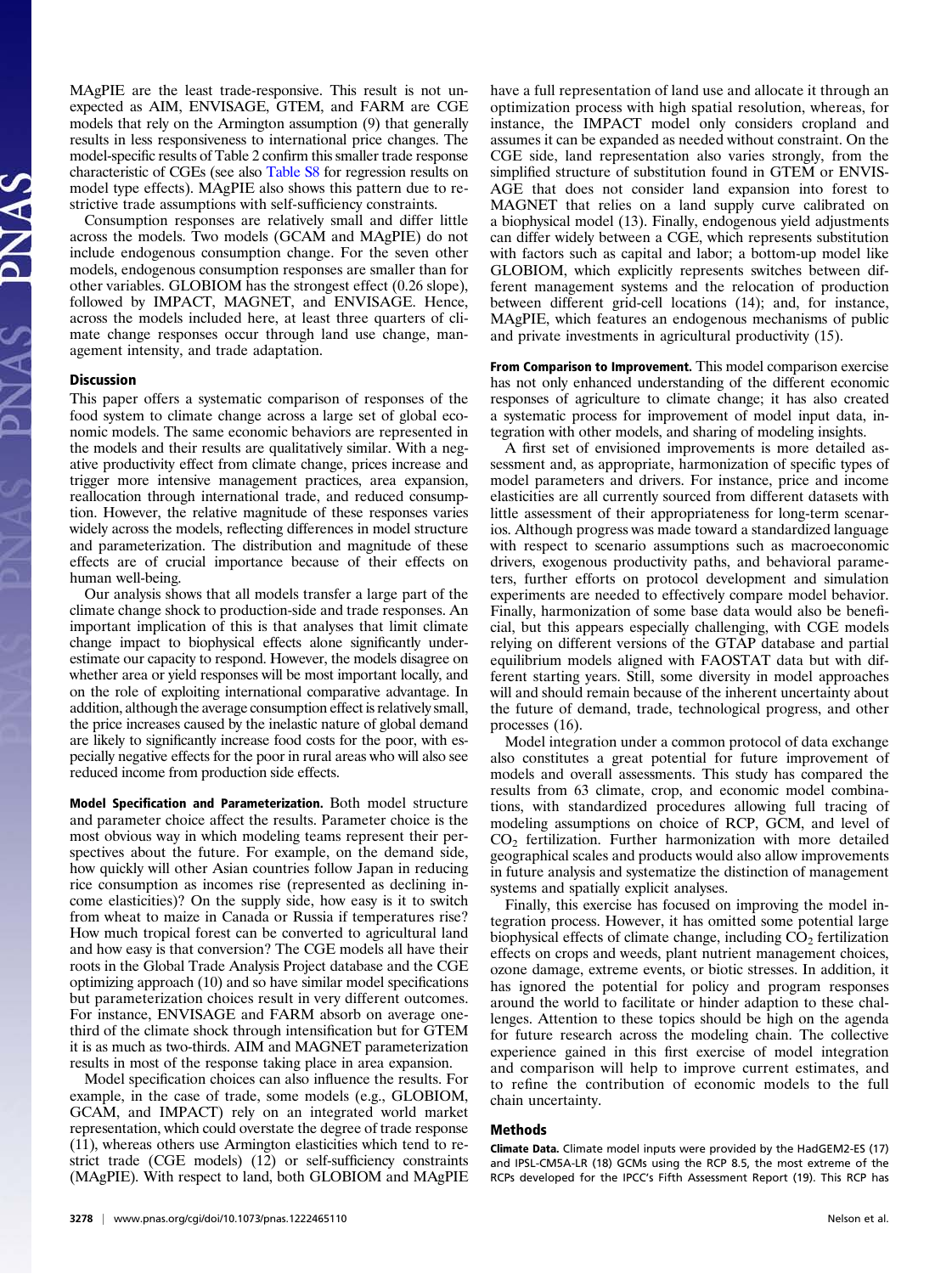MAgPIE are the least trade-responsive. This result is not unexpected as AIM, ENVISAGE, GTEM, and FARM are CGE models that rely on the Armington assumption (9) that generally results in less responsiveness to international price changes. The model-specific results of Table 2 confirm this smaller trade response characteristic of CGEs (see also [Table S8](http://www.pnas.org/lookup/suppl/doi:10.1073/pnas.1222465110/-/DCSupplemental/pnas.201222465SI.pdf?targetid=nameddest=ST8) for regression results on model type effects). MAgPIE also shows this pattern due to restrictive trade assumptions with self-sufficiency constraints.

Consumption responses are relatively small and differ little across the models. Two models (GCAM and MAgPIE) do not include endogenous consumption change. For the seven other models, endogenous consumption responses are smaller than for other variables. GLOBIOM has the strongest effect (0.26 slope), followed by IMPACT, MAGNET, and ENVISAGE. Hence, across the models included here, at least three quarters of climate change responses occur through land use change, management intensity, and trade adaptation.

# **Discussion**

This paper offers a systematic comparison of responses of the food system to climate change across a large set of global economic models. The same economic behaviors are represented in the models and their results are qualitatively similar. With a negative productivity effect from climate change, prices increase and trigger more intensive management practices, area expansion, reallocation through international trade, and reduced consumption. However, the relative magnitude of these responses varies widely across the models, reflecting differences in model structure and parameterization. The distribution and magnitude of these effects are of crucial importance because of their effects on human well-being.

Our analysis shows that all models transfer a large part of the climate change shock to production-side and trade responses. An important implication of this is that analyses that limit climate change impact to biophysical effects alone significantly underestimate our capacity to respond. However, the models disagree on whether area or yield responses will be most important locally, and on the role of exploiting international comparative advantage. In addition, although the average consumption effect is relatively small, the price increases caused by the inelastic nature of global demand are likely to significantly increase food costs for the poor, with especially negative effects for the poor in rural areas who will also see reduced income from production side effects.

Model Specification and Parameterization. Both model structure and parameter choice affect the results. Parameter choice is the most obvious way in which modeling teams represent their perspectives about the future. For example, on the demand side, how quickly will other Asian countries follow Japan in reducing rice consumption as incomes rise (represented as declining income elasticities)? On the supply side, how easy is it to switch from wheat to maize in Canada or Russia if temperatures rise? How much tropical forest can be converted to agricultural land and how easy is that conversion? The CGE models all have their roots in the Global Trade Analysis Project database and the CGE optimizing approach (10) and so have similar model specifications but parameterization choices result in very different outcomes. For instance, ENVISAGE and FARM absorb on average onethird of the climate shock through intensification but for GTEM it is as much as two-thirds. AIM and MAGNET parameterization results in most of the response taking place in area expansion.

Model specification choices can also influence the results. For example, in the case of trade, some models (e.g., GLOBIOM, GCAM, and IMPACT) rely on an integrated world market representation, which could overstate the degree of trade response (11), whereas others use Armington elasticities which tend to restrict trade (CGE models) (12) or self-sufficiency constraints (MAgPIE). With respect to land, both GLOBIOM and MAgPIE have a full representation of land use and allocate it through an optimization process with high spatial resolution, whereas, for instance, the IMPACT model only considers cropland and assumes it can be expanded as needed without constraint. On the CGE side, land representation also varies strongly, from the simplified structure of substitution found in GTEM or ENVIS-AGE that does not consider land expansion into forest to MAGNET that relies on a land supply curve calibrated on a biophysical model (13). Finally, endogenous yield adjustments can differ widely between a CGE, which represents substitution with factors such as capital and labor; a bottom-up model like GLOBIOM, which explicitly represents switches between different management systems and the relocation of production between different grid-cell locations (14); and, for instance, MAgPIE, which features an endogenous mechanisms of public and private investments in agricultural productivity (15).

From Comparison to Improvement. This model comparison exercise has not only enhanced understanding of the different economic responses of agriculture to climate change; it has also created a systematic process for improvement of model input data, integration with other models, and sharing of modeling insights.

A first set of envisioned improvements is more detailed assessment and, as appropriate, harmonization of specific types of model parameters and drivers. For instance, price and income elasticities are all currently sourced from different datasets with little assessment of their appropriateness for long-term scenarios. Although progress was made toward a standardized language with respect to scenario assumptions such as macroeconomic drivers, exogenous productivity paths, and behavioral parameters, further efforts on protocol development and simulation experiments are needed to effectively compare model behavior. Finally, harmonization of some base data would also be beneficial, but this appears especially challenging, with CGE models relying on different versions of the GTAP database and partial equilibrium models aligned with FAOSTAT data but with different starting years. Still, some diversity in model approaches will and should remain because of the inherent uncertainty about the future of demand, trade, technological progress, and other processes (16).

Model integration under a common protocol of data exchange also constitutes a great potential for future improvement of models and overall assessments. This study has compared the results from 63 climate, crop, and economic model combinations, with standardized procedures allowing full tracing of modeling assumptions on choice of RCP, GCM, and level of CO2 fertilization. Further harmonization with more detailed geographical scales and products would also allow improvements in future analysis and systematize the distinction of management systems and spatially explicit analyses.

Finally, this exercise has focused on improving the model integration process. However, it has omitted some potential large biophysical effects of climate change, including  $CO<sub>2</sub>$  fertilization effects on crops and weeds, plant nutrient management choices, ozone damage, extreme events, or biotic stresses. In addition, it has ignored the potential for policy and program responses around the world to facilitate or hinder adaption to these challenges. Attention to these topics should be high on the agenda for future research across the modeling chain. The collective experience gained in this first exercise of model integration and comparison will help to improve current estimates, and to refine the contribution of economic models to the full chain uncertainty.

### Methods

Climate Data. Climate model inputs were provided by the HadGEM2-ES (17) and IPSL-CM5A-LR (18) GCMs using the RCP 8.5, the most extreme of the RCPs developed for the IPCC's Fifth Assessment Report (19). This RCP has